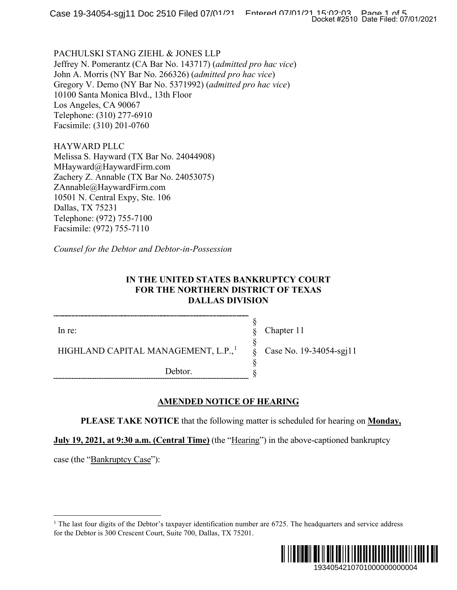PACHULSKI STANG ZIEHL & JONES LLP Jeffrey N. Pomerantz (CA Bar No. 143717) (*admitted pro hac vice*) John A. Morris (NY Bar No. 266326) (*admitted pro hac vice*) Gregory V. Demo (NY Bar No. 5371992) (*admitted pro hac vice*) 10100 Santa Monica Blvd., 13th Floor Los Angeles, CA 90067 Telephone: (310) 277-6910 Facsimile: (310) 201-0760

HAYWARD PLLC Melissa S. Hayward (TX Bar No. 24044908) MHayward@HaywardFirm.com Zachery Z. Annable (TX Bar No. 24053075) ZAnnable@HaywardFirm.com 10501 N. Central Expy, Ste. 106 Dallas, TX 75231 Telephone: (972) 755-7100 Facsimile: (972) 755-7110

*Counsel for the Debtor and Debtor-in-Possession*

## **IN THE UNITED STATES BANKRUPTCY COURT FOR THE NORTHERN DISTRICT OF TEXAS DALLAS DIVISION**

In re:

HIGHLAND CAPITAL MANAGEMENT, L.P.,<sup>[1](#page-0-0)</sup>

Debtor.

Chapter 11

§ § § § § §

Case No. 19-34054-sgj11

## **AMENDED NOTICE OF HEARING**

**PLEASE TAKE NOTICE** that the following matter is scheduled for hearing on **Monday,** 

**July 19, 2021, at 9:30 a.m. (Central Time)** (the "Hearing") in the above-captioned bankruptcy

<span id="page-0-0"></span>case (the "Bankruptcy Case"):

<sup>&</sup>lt;sup>1</sup> The last four digits of the Debtor's taxpayer identification number are  $6725$ . The headquarters and service address for the Debtor is 300 Crescent Court, Suite 700, Dallas, TX 75201.

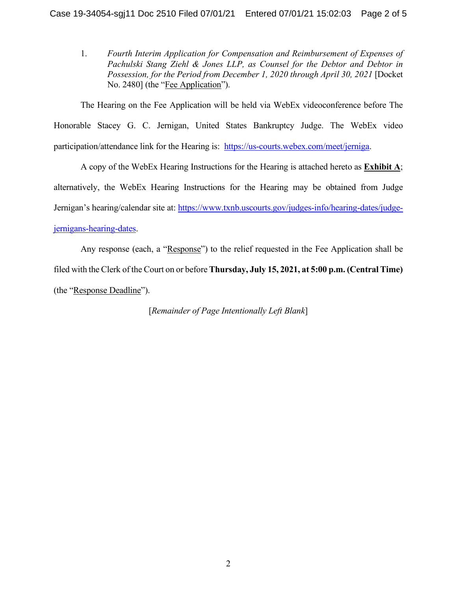1. *Fourth Interim Application for Compensation and Reimbursement of Expenses of Pachulski Stang Ziehl & Jones LLP, as Counsel for the Debtor and Debtor in Possession, for the Period from December 1, 2020 through April 30, 2021* [Docket No. 2480] (the "Fee Application").

The Hearing on the Fee Application will be held via WebEx videoconference before The Honorable Stacey G. C. Jernigan, United States Bankruptcy Judge. The WebEx video participation/attendance link for the Hearing is: [https://us-courts.webex.com/meet/jerniga.](https://us-courts.webex.com/meet/jerniga)

A copy of the WebEx Hearing Instructions for the Hearing is attached hereto as **Exhibit A**; alternatively, the WebEx Hearing Instructions for the Hearing may be obtained from Judge Jernigan's hearing/calendar site at: [https://www.txnb.uscourts.gov/judges-info/hearing-dates/judge](https://www.txnb.uscourts.gov/judges-info/hearing-dates/judge-jernigans-hearing-dates)[jernigans-hearing-dates.](https://www.txnb.uscourts.gov/judges-info/hearing-dates/judge-jernigans-hearing-dates)

Any response (each, a "Response") to the relief requested in the Fee Application shall be filed with the Clerk of the Court on or before **Thursday, July 15, 2021, at 5:00 p.m. (Central Time)** (the "Response Deadline").

[*Remainder of Page Intentionally Left Blank*]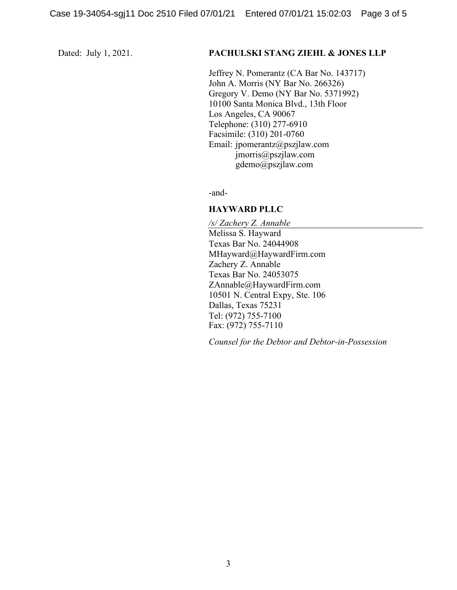#### Dated: July 1, 2021. **PACHULSKI STANG ZIEHL & JONES LLP**

Jeffrey N. Pomerantz (CA Bar No. 143717) John A. Morris (NY Bar No. 266326) Gregory V. Demo (NY Bar No. 5371992) 10100 Santa Monica Blvd., 13th Floor Los Angeles, CA 90067 Telephone: (310) 277-6910 Facsimile: (310) 201-0760 Email: jpomerantz@pszjlaw.com jmorris@pszjlaw.com gdemo@pszjlaw.com

-and-

### **HAYWARD PLLC**

*/s/ Zachery Z. Annable* Melissa S. Hayward Texas Bar No. 24044908 MHayward@HaywardFirm.com Zachery Z. Annable Texas Bar No. 24053075 ZAnnable@HaywardFirm.com 10501 N. Central Expy, Ste. 106 Dallas, Texas 75231 Tel: (972) 755-7100 Fax: (972) 755-7110

*Counsel for the Debtor and Debtor-in-Possession*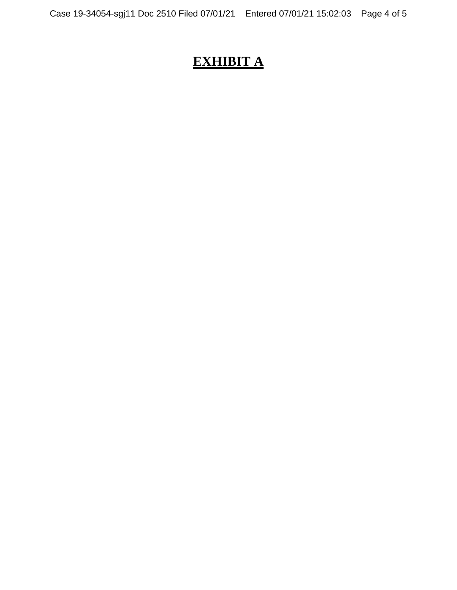# **EXHIBIT A**